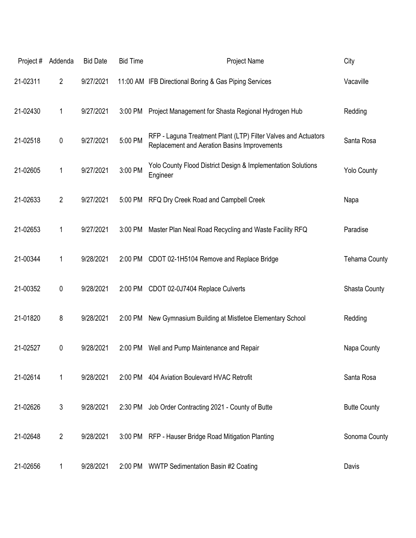| Project# | Addenda        | <b>Bid Date</b> | <b>Bid Time</b> | Project Name                                                                                                   | City                 |
|----------|----------------|-----------------|-----------------|----------------------------------------------------------------------------------------------------------------|----------------------|
| 21-02311 | $\overline{2}$ | 9/27/2021       |                 | 11:00 AM IFB Directional Boring & Gas Piping Services                                                          | Vacaville            |
| 21-02430 | 1              | 9/27/2021       | 3:00 PM         | Project Management for Shasta Regional Hydrogen Hub                                                            | Redding              |
| 21-02518 | 0              | 9/27/2021       | 5:00 PM         | RFP - Laguna Treatment Plant (LTP) Filter Valves and Actuators<br>Replacement and Aeration Basins Improvements | Santa Rosa           |
| 21-02605 | 1              | 9/27/2021       | 3:00 PM         | Yolo County Flood District Design & Implementation Solutions<br>Engineer                                       | <b>Yolo County</b>   |
| 21-02633 | $\overline{2}$ | 9/27/2021       | 5:00 PM         | RFQ Dry Creek Road and Campbell Creek                                                                          | Napa                 |
| 21-02653 | 1              | 9/27/2021       | 3:00 PM         | Master Plan Neal Road Recycling and Waste Facility RFQ                                                         | Paradise             |
| 21-00344 | 1              | 9/28/2021       | 2:00 PM         | CDOT 02-1H5104 Remove and Replace Bridge                                                                       | <b>Tehama County</b> |
| 21-00352 | 0              | 9/28/2021       | 2:00 PM         | CDOT 02-0J7404 Replace Culverts                                                                                | <b>Shasta County</b> |
| 21-01820 | 8              | 9/28/2021       | 2:00 PM         | New Gymnasium Building at Mistletoe Elementary School                                                          | Redding              |
| 21-02527 | 0              | 9/28/2021       | 2:00 PM         | Well and Pump Maintenance and Repair                                                                           | Napa County          |
| 21-02614 | 1              | 9/28/2021       |                 | 2:00 PM 404 Aviation Boulevard HVAC Retrofit                                                                   | Santa Rosa           |
| 21-02626 | 3              | 9/28/2021       | 2:30 PM         | Job Order Contracting 2021 - County of Butte                                                                   | <b>Butte County</b>  |
| 21-02648 | $\overline{2}$ | 9/28/2021       |                 | 3:00 PM RFP - Hauser Bridge Road Mitigation Planting                                                           | Sonoma County        |
| 21-02656 | 1              | 9/28/2021       |                 | 2:00 PM WWTP Sedimentation Basin #2 Coating                                                                    | Davis                |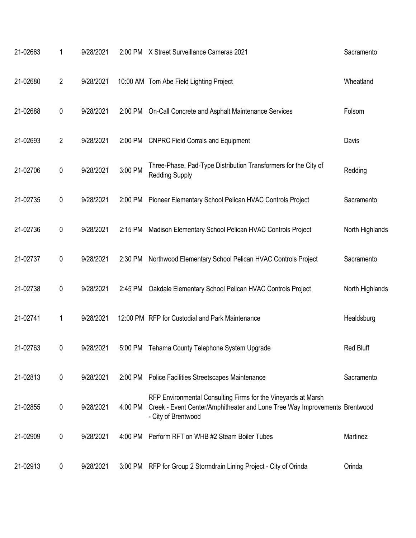| 21-02663 | 1              | 9/28/2021 | 2:00 PM | X Street Surveillance Cameras 2021                                                                                                                                 | Sacramento       |
|----------|----------------|-----------|---------|--------------------------------------------------------------------------------------------------------------------------------------------------------------------|------------------|
| 21-02680 | $\overline{2}$ | 9/28/2021 |         | 10:00 AM Tom Abe Field Lighting Project                                                                                                                            | Wheatland        |
| 21-02688 | 0              | 9/28/2021 | 2:00 PM | On-Call Concrete and Asphalt Maintenance Services                                                                                                                  | Folsom           |
| 21-02693 | $\overline{2}$ | 9/28/2021 | 2:00 PM | <b>CNPRC Field Corrals and Equipment</b>                                                                                                                           | Davis            |
| 21-02706 | $\mathbf 0$    | 9/28/2021 | 3:00 PM | Three-Phase, Pad-Type Distribution Transformers for the City of<br><b>Redding Supply</b>                                                                           | Redding          |
| 21-02735 | $\pmb{0}$      | 9/28/2021 | 2:00 PM | Pioneer Elementary School Pelican HVAC Controls Project                                                                                                            | Sacramento       |
| 21-02736 | 0              | 9/28/2021 | 2:15 PM | Madison Elementary School Pelican HVAC Controls Project                                                                                                            | North Highlands  |
| 21-02737 | $\pmb{0}$      | 9/28/2021 | 2:30 PM | Northwood Elementary School Pelican HVAC Controls Project                                                                                                          | Sacramento       |
| 21-02738 | $\pmb{0}$      | 9/28/2021 | 2:45 PM | Oakdale Elementary School Pelican HVAC Controls Project                                                                                                            | North Highlands  |
| 21-02741 | 1              | 9/28/2021 |         | 12:00 PM RFP for Custodial and Park Maintenance                                                                                                                    | Healdsburg       |
| 21-02763 | 0              | 9/28/2021 |         | 5:00 PM Tehama County Telephone System Upgrade                                                                                                                     | <b>Red Bluff</b> |
| 21-02813 | 0              | 9/28/2021 | 2:00 PM | Police Facilities Streetscapes Maintenance                                                                                                                         | Sacramento       |
| 21-02855 | 0              | 9/28/2021 | 4:00 PM | RFP Environmental Consulting Firms for the Vineyards at Marsh<br>Creek - Event Center/Amphitheater and Lone Tree Way Improvements Brentwood<br>- City of Brentwood |                  |
| 21-02909 | 0              | 9/28/2021 | 4:00 PM | Perform RFT on WHB #2 Steam Boiler Tubes                                                                                                                           | Martinez         |
| 21-02913 | 0              | 9/28/2021 |         | 3:00 PM RFP for Group 2 Stormdrain Lining Project - City of Orinda                                                                                                 | Orinda           |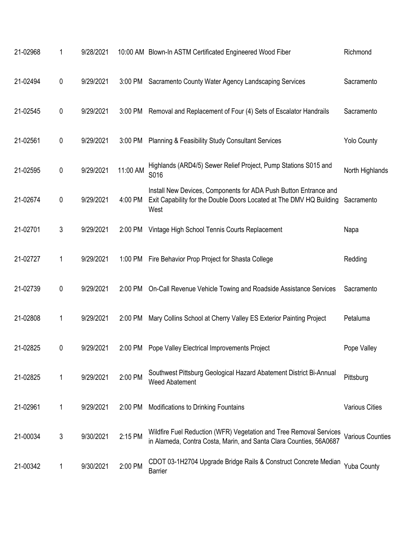| 21-02968 | 1 | 9/28/2021 |          | 10:00 AM Blown-In ASTM Certificated Engineered Wood Fiber                                                                                       | Richmond                |
|----------|---|-----------|----------|-------------------------------------------------------------------------------------------------------------------------------------------------|-------------------------|
| 21-02494 | 0 | 9/29/2021 | 3:00 PM  | Sacramento County Water Agency Landscaping Services                                                                                             | Sacramento              |
| 21-02545 | 0 | 9/29/2021 | 3:00 PM  | Removal and Replacement of Four (4) Sets of Escalator Handrails                                                                                 | Sacramento              |
| 21-02561 | 0 | 9/29/2021 | 3:00 PM  | <b>Planning &amp; Feasibility Study Consultant Services</b>                                                                                     | <b>Yolo County</b>      |
| 21-02595 | 0 | 9/29/2021 | 11:00 AM | Highlands (ARD4/5) Sewer Relief Project, Pump Stations S015 and<br>S016                                                                         | North Highlands         |
| 21-02674 | 0 | 9/29/2021 | 4:00 PM  | Install New Devices, Components for ADA Push Button Entrance and<br>Exit Capability for the Double Doors Located at The DMV HQ Building<br>West | Sacramento              |
| 21-02701 | 3 | 9/29/2021 | 2:00 PM  | Vintage High School Tennis Courts Replacement                                                                                                   | Napa                    |
| 21-02727 | 1 | 9/29/2021 | 1:00 PM  | Fire Behavior Prop Project for Shasta College                                                                                                   | Redding                 |
| 21-02739 | 0 | 9/29/2021 | 2:00 PM  | On-Call Revenue Vehicle Towing and Roadside Assistance Services                                                                                 | Sacramento              |
| 21-02808 | 1 | 9/29/2021 | 2:00 PM  | Mary Collins School at Cherry Valley ES Exterior Painting Project                                                                               | Petaluma                |
| 21-02825 | 0 | 9/29/2021 | 2:00 PM  | Pope Valley Electrical Improvements Project                                                                                                     | Pope Valley             |
| 21-02825 | 1 | 9/29/2021 | 2:00 PM  | Southwest Pittsburg Geological Hazard Abatement District Bi-Annual<br><b>Weed Abatement</b>                                                     | Pittsburg               |
| 21-02961 | 1 | 9/29/2021 | 2:00 PM  | Modifications to Drinking Fountains                                                                                                             | <b>Various Cities</b>   |
| 21-00034 | 3 | 9/30/2021 | 2:15 PM  | Wildfire Fuel Reduction (WFR) Vegetation and Tree Removal Services<br>in Alameda, Contra Costa, Marin, and Santa Clara Counties, 56A0687        | <b>Various Counties</b> |
| 21-00342 | 1 | 9/30/2021 | 2:00 PM  | CDOT 03-1H2704 Upgrade Bridge Rails & Construct Concrete Median<br><b>Barrier</b>                                                               | <b>Yuba County</b>      |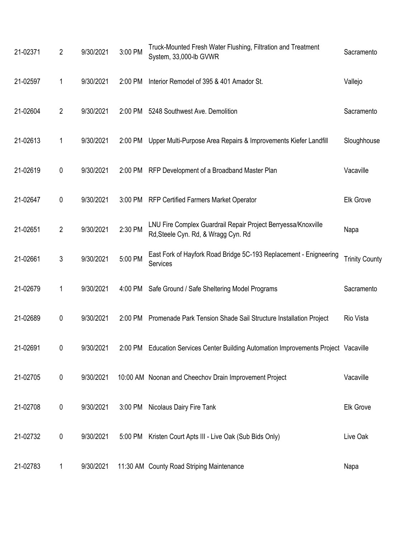| 21-02371 | $\overline{2}$ | 9/30/2021 | 3:00 PM | Truck-Mounted Fresh Water Flushing, Filtration and Treatment<br>System, 33,000-lb GVWR               | Sacramento            |
|----------|----------------|-----------|---------|------------------------------------------------------------------------------------------------------|-----------------------|
| 21-02597 | 1              | 9/30/2021 | 2:00 PM | Interior Remodel of 395 & 401 Amador St.                                                             | Vallejo               |
| 21-02604 | $\overline{2}$ | 9/30/2021 | 2:00 PM | 5248 Southwest Ave. Demolition                                                                       | Sacramento            |
| 21-02613 | 1              | 9/30/2021 | 2:00 PM | Upper Multi-Purpose Area Repairs & Improvements Kiefer Landfill                                      | Sloughhouse           |
| 21-02619 | 0              | 9/30/2021 | 2:00 PM | RFP Development of a Broadband Master Plan                                                           | Vacaville             |
| 21-02647 | 0              | 9/30/2021 | 3:00 PM | <b>RFP Certified Farmers Market Operator</b>                                                         | Elk Grove             |
| 21-02651 | $\overline{2}$ | 9/30/2021 | 2:30 PM | LNU Fire Complex Guardrail Repair Project Berryessa/Knoxville<br>Rd, Steele Cyn. Rd, & Wragg Cyn. Rd | Napa                  |
| 21-02661 | 3              | 9/30/2021 | 5:00 PM | East Fork of Hayfork Road Bridge 5C-193 Replacement - Enigneering<br>Services                        | <b>Trinity County</b> |
| 21-02679 | 1              | 9/30/2021 | 4:00 PM | Safe Ground / Safe Sheltering Model Programs                                                         | Sacramento            |
| 21-02689 | 0              | 9/30/2021 |         | 2:00 PM Promenade Park Tension Shade Sail Structure Installation Project                             | Rio Vista             |
| 21-02691 | 0              | 9/30/2021 |         | 2:00 PM Education Services Center Building Automation Improvements Project Vacaville                 |                       |
| 21-02705 | $\pmb{0}$      | 9/30/2021 |         | 10:00 AM Noonan and Cheechov Drain Improvement Project                                               | Vacaville             |
| 21-02708 | 0              | 9/30/2021 | 3:00 PM | Nicolaus Dairy Fire Tank                                                                             | Elk Grove             |
| 21-02732 | $\pmb{0}$      | 9/30/2021 |         | 5:00 PM Kristen Court Apts III - Live Oak (Sub Bids Only)                                            | Live Oak              |
| 21-02783 | 1              | 9/30/2021 |         | 11:30 AM County Road Striping Maintenance                                                            | Napa                  |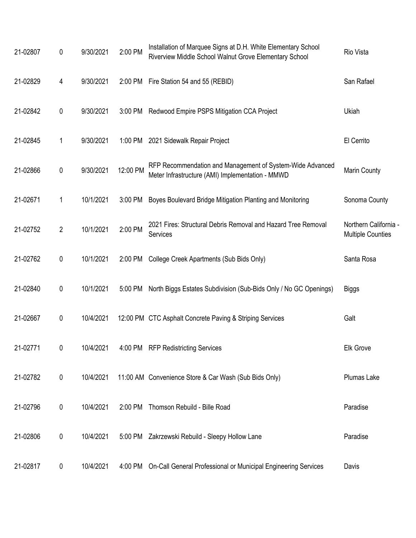| 21-02807 | 0              | 9/30/2021 | 2:00 PM  | Installation of Marquee Signs at D.H. White Elementary School<br>Riverview Middle School Walnut Grove Elementary School | Rio Vista                                         |
|----------|----------------|-----------|----------|-------------------------------------------------------------------------------------------------------------------------|---------------------------------------------------|
| 21-02829 | 4              | 9/30/2021 | 2:00 PM  | Fire Station 54 and 55 (REBID)                                                                                          | San Rafael                                        |
| 21-02842 | $\pmb{0}$      | 9/30/2021 |          | 3:00 PM Redwood Empire PSPS Mitigation CCA Project                                                                      | Ukiah                                             |
| 21-02845 | 1              | 9/30/2021 |          | 1:00 PM 2021 Sidewalk Repair Project                                                                                    | El Cerrito                                        |
| 21-02866 | 0              | 9/30/2021 | 12:00 PM | RFP Recommendation and Management of System-Wide Advanced<br>Meter Infrastructure (AMI) Implementation - MMWD           | Marin County                                      |
| 21-02671 | 1              | 10/1/2021 | 3:00 PM  | Boyes Boulevard Bridge Mitigation Planting and Monitoring                                                               | Sonoma County                                     |
| 21-02752 | $\overline{2}$ | 10/1/2021 | 2:00 PM  | 2021 Fires: Structural Debris Removal and Hazard Tree Removal<br>Services                                               | Northern California -<br><b>Multiple Counties</b> |
| 21-02762 | $\pmb{0}$      | 10/1/2021 | 2:00 PM  | College Creek Apartments (Sub Bids Only)                                                                                | Santa Rosa                                        |
| 21-02840 | $\pmb{0}$      | 10/1/2021 | 5:00 PM  | North Biggs Estates Subdivision (Sub-Bids Only / No GC Openings)                                                        | <b>Biggs</b>                                      |
| 21-02667 | 0              | 10/4/2021 |          | 12:00 PM CTC Asphalt Concrete Paving & Striping Services                                                                | Galt                                              |
| 21-02771 | 0              | 10/4/2021 |          | 4:00 PM RFP Redistricting Services                                                                                      | Elk Grove                                         |
| 21-02782 | $\pmb{0}$      | 10/4/2021 |          | 11:00 AM Convenience Store & Car Wash (Sub Bids Only)                                                                   | Plumas Lake                                       |
| 21-02796 | 0              | 10/4/2021 | 2:00 PM  | Thomson Rebuild - Bille Road                                                                                            | Paradise                                          |
| 21-02806 | 0              | 10/4/2021 |          | 5:00 PM Zakrzewski Rebuild - Sleepy Hollow Lane                                                                         | Paradise                                          |
| 21-02817 | $\pmb{0}$      | 10/4/2021 |          | 4:00 PM On-Call General Professional or Municipal Engineering Services                                                  | Davis                                             |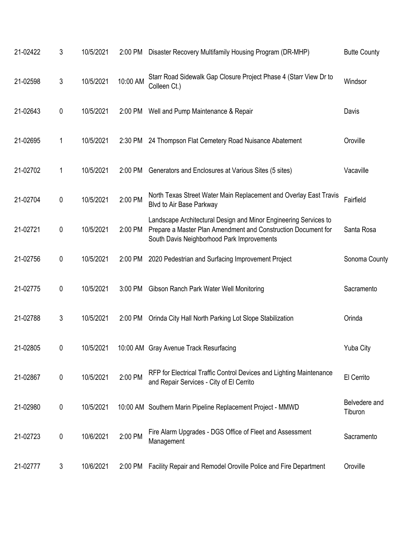| 21-02422 | 3 | 10/5/2021 | 2:00 PM  | Disaster Recovery Multifamily Housing Program (DR-MHP)                                                                                                                          | <b>Butte County</b>      |
|----------|---|-----------|----------|---------------------------------------------------------------------------------------------------------------------------------------------------------------------------------|--------------------------|
| 21-02598 | 3 | 10/5/2021 | 10:00 AM | Starr Road Sidewalk Gap Closure Project Phase 4 (Starr View Dr to<br>Colleen Ct.)                                                                                               | Windsor                  |
| 21-02643 | 0 | 10/5/2021 | 2:00 PM  | Well and Pump Maintenance & Repair                                                                                                                                              | Davis                    |
| 21-02695 | 1 | 10/5/2021 | 2:30 PM  | 24 Thompson Flat Cemetery Road Nuisance Abatement                                                                                                                               | Oroville                 |
| 21-02702 | 1 | 10/5/2021 | 2:00 PM  | Generators and Enclosures at Various Sites (5 sites)                                                                                                                            | Vacaville                |
| 21-02704 | 0 | 10/5/2021 | 2:00 PM  | North Texas Street Water Main Replacement and Overlay East Travis<br>Blvd to Air Base Parkway                                                                                   | Fairfield                |
| 21-02721 | 0 | 10/5/2021 | 2:00 PM  | Landscape Architectural Design and Minor Engineering Services to<br>Prepare a Master Plan Amendment and Construction Document for<br>South Davis Neighborhood Park Improvements | Santa Rosa               |
| 21-02756 | 0 | 10/5/2021 | 2:00 PM  | 2020 Pedestrian and Surfacing Improvement Project                                                                                                                               | Sonoma County            |
| 21-02775 | 0 | 10/5/2021 | 3:00 PM  | Gibson Ranch Park Water Well Monitoring                                                                                                                                         | Sacramento               |
| 21-02788 | 3 | 10/5/2021 | 2:00 PM  | Orinda City Hall North Parking Lot Slope Stabilization                                                                                                                          | Orinda                   |
| 21-02805 | 0 | 10/5/2021 |          | 10:00 AM Gray Avenue Track Resurfacing                                                                                                                                          | <b>Yuba City</b>         |
| 21-02867 | 0 | 10/5/2021 | 2:00 PM  | RFP for Electrical Traffic Control Devices and Lighting Maintenance<br>and Repair Services - City of El Cerrito                                                                 | El Cerrito               |
| 21-02980 | 0 | 10/5/2021 |          | 10:00 AM Southern Marin Pipeline Replacement Project - MMWD                                                                                                                     | Belvedere and<br>Tiburon |
| 21-02723 | 0 | 10/6/2021 | 2:00 PM  | Fire Alarm Upgrades - DGS Office of Fleet and Assessment<br>Management                                                                                                          | Sacramento               |
| 21-02777 | 3 | 10/6/2021 | 2:00 PM  | Facility Repair and Remodel Oroville Police and Fire Department                                                                                                                 | Oroville                 |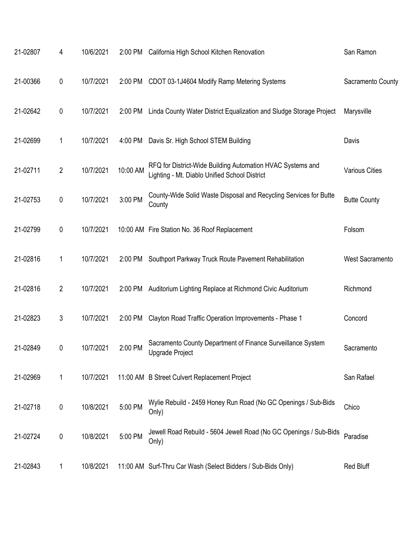| 21-02807 | 4            | 10/6/2021 |          | 2:00 PM California High School Kitchen Renovation                                                           | San Ramon             |
|----------|--------------|-----------|----------|-------------------------------------------------------------------------------------------------------------|-----------------------|
| 21-00366 | 0            | 10/7/2021 |          | 2:00 PM CDOT 03-1J4604 Modify Ramp Metering Systems                                                         | Sacramento County     |
| 21-02642 | 0            | 10/7/2021 | 2:00 PM  | Linda County Water District Equalization and Sludge Storage Project                                         | Marysville            |
| 21-02699 | 1            | 10/7/2021 | 4:00 PM  | Davis Sr. High School STEM Building                                                                         | Davis                 |
| 21-02711 | $\mathbf{2}$ | 10/7/2021 | 10:00 AM | RFQ for District-Wide Building Automation HVAC Systems and<br>Lighting - Mt. Diablo Unified School District | <b>Various Cities</b> |
| 21-02753 | $\pmb{0}$    | 10/7/2021 | 3:00 PM  | County-Wide Solid Waste Disposal and Recycling Services for Butte<br>County                                 | <b>Butte County</b>   |
| 21-02799 | 0            | 10/7/2021 |          | 10:00 AM Fire Station No. 36 Roof Replacement                                                               | Folsom                |
| 21-02816 | 1            | 10/7/2021 | 2:00 PM  | Southport Parkway Truck Route Pavement Rehabilitation                                                       | West Sacramento       |
| 21-02816 | 2            | 10/7/2021 | 2:00 PM  | Auditorium Lighting Replace at Richmond Civic Auditorium                                                    | Richmond              |
| 21-02823 | 3            | 10/7/2021 | 2:00 PM  | Clayton Road Traffic Operation Improvements - Phase 1                                                       | Concord               |
| 21-02849 | 0            | 10/7/2021 | 2:00 PM  | Sacramento County Department of Finance Surveillance System<br>Upgrade Project                              | Sacramento            |
| 21-02969 | 1            | 10/7/2021 |          | 11:00 AM B Street Culvert Replacement Project                                                               | San Rafael            |
| 21-02718 | 0            | 10/8/2021 | 5:00 PM  | Wylie Rebuild - 2459 Honey Run Road (No GC Openings / Sub-Bids<br>Only)                                     | Chico                 |
| 21-02724 | 0            | 10/8/2021 | 5:00 PM  | Jewell Road Rebuild - 5604 Jewell Road (No GC Openings / Sub-Bids<br>Only)                                  | Paradise              |
| 21-02843 | 1            | 10/8/2021 |          | 11:00 AM Surf-Thru Car Wash (Select Bidders / Sub-Bids Only)                                                | Red Bluff             |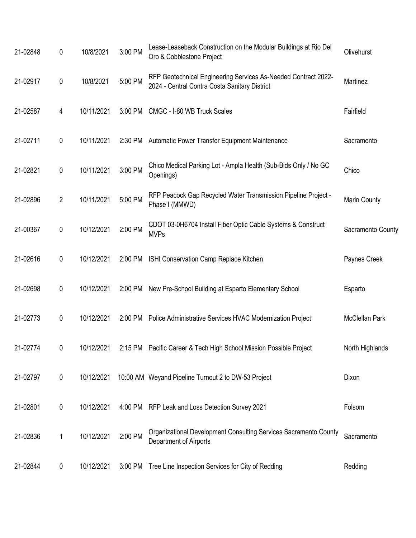| 21-02848 | 0              | 10/8/2021  | 3:00 PM | Lease-Leaseback Construction on the Modular Buildings at Rio Del<br>Oro & Cobblestone Project                   | Olivehurst            |
|----------|----------------|------------|---------|-----------------------------------------------------------------------------------------------------------------|-----------------------|
| 21-02917 | 0              | 10/8/2021  | 5:00 PM | RFP Geotechnical Engineering Services As-Needed Contract 2022-<br>2024 - Central Contra Costa Sanitary District | Martinez              |
| 21-02587 | 4              | 10/11/2021 | 3:00 PM | CMGC - I-80 WB Truck Scales                                                                                     | Fairfield             |
| 21-02711 | 0              | 10/11/2021 | 2:30 PM | Automatic Power Transfer Equipment Maintenance                                                                  | Sacramento            |
| 21-02821 | 0              | 10/11/2021 | 3:00 PM | Chico Medical Parking Lot - Ampla Health (Sub-Bids Only / No GC<br>Openings)                                    | Chico                 |
| 21-02896 | $\overline{2}$ | 10/11/2021 | 5:00 PM | RFP Peacock Gap Recycled Water Transmission Pipeline Project -<br>Phase I (MMWD)                                | <b>Marin County</b>   |
| 21-00367 | 0              | 10/12/2021 | 2:00 PM | CDOT 03-0H6704 Install Fiber Optic Cable Systems & Construct<br><b>MVPs</b>                                     | Sacramento County     |
| 21-02616 | 0              | 10/12/2021 | 2:00 PM | ISHI Conservation Camp Replace Kitchen                                                                          | Paynes Creek          |
| 21-02698 | 0              | 10/12/2021 | 2:00 PM | New Pre-School Building at Esparto Elementary School                                                            | Esparto               |
| 21-02773 | 0              | 10/12/2021 |         | 2:00 PM Police Administrative Services HVAC Modernization Project                                               | <b>McClellan Park</b> |
| 21-02774 | 0              | 10/12/2021 |         | 2:15 PM Pacific Career & Tech High School Mission Possible Project                                              | North Highlands       |
| 21-02797 | $\mathbf 0$    | 10/12/2021 |         | 10:00 AM Weyand Pipeline Turnout 2 to DW-53 Project                                                             | Dixon                 |
| 21-02801 | 0              | 10/12/2021 |         | 4:00 PM RFP Leak and Loss Detection Survey 2021                                                                 | Folsom                |
| 21-02836 | 1              | 10/12/2021 | 2:00 PM | Organizational Development Consulting Services Sacramento County<br>Department of Airports                      | Sacramento            |
| 21-02844 | 0              | 10/12/2021 | 3:00 PM | Tree Line Inspection Services for City of Redding                                                               | Redding               |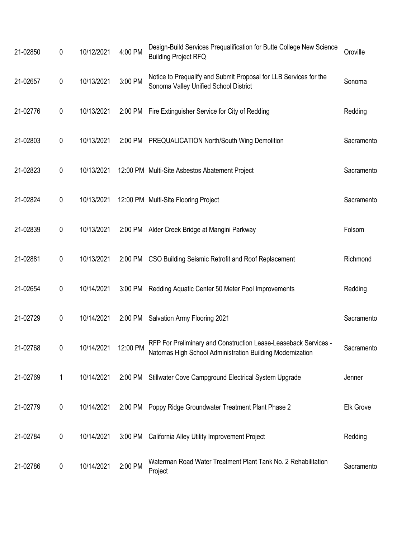| 21-02850 | 0 | 10/12/2021 | 4:00 PM  | Design-Build Services Prequalification for Butte College New Science<br><b>Building Project RFQ</b>                          | Oroville         |
|----------|---|------------|----------|------------------------------------------------------------------------------------------------------------------------------|------------------|
| 21-02657 | 0 | 10/13/2021 | 3:00 PM  | Notice to Prequalify and Submit Proposal for LLB Services for the<br>Sonoma Valley Unified School District                   | Sonoma           |
| 21-02776 | 0 | 10/13/2021 | 2:00 PM  | Fire Extinguisher Service for City of Redding                                                                                | Redding          |
| 21-02803 | 0 | 10/13/2021 |          | 2:00 PM PREQUALICATION North/South Wing Demolition                                                                           | Sacramento       |
| 21-02823 | 0 | 10/13/2021 |          | 12:00 PM Multi-Site Asbestos Abatement Project                                                                               | Sacramento       |
| 21-02824 | 0 | 10/13/2021 |          | 12:00 PM Multi-Site Flooring Project                                                                                         | Sacramento       |
| 21-02839 | 0 | 10/13/2021 |          | 2:00 PM Alder Creek Bridge at Mangini Parkway                                                                                | Folsom           |
| 21-02881 | 0 | 10/13/2021 |          | 2:00 PM CSO Building Seismic Retrofit and Roof Replacement                                                                   | Richmond         |
| 21-02654 | 0 | 10/14/2021 | 3:00 PM  | Redding Aquatic Center 50 Meter Pool Improvements                                                                            | Redding          |
| 21-02729 | 0 | 10/14/2021 | 2:00 PM  | Salvation Army Flooring 2021                                                                                                 | Sacramento       |
| 21-02768 | 0 | 10/14/2021 | 12:00 PM | RFP For Preliminary and Construction Lease-Leaseback Services -<br>Natomas High School Administration Building Modernization | Sacramento       |
| 21-02769 | 1 | 10/14/2021 |          | 2:00 PM Stillwater Cove Campground Electrical System Upgrade                                                                 | Jenner           |
| 21-02779 | 0 | 10/14/2021 |          | 2:00 PM Poppy Ridge Groundwater Treatment Plant Phase 2                                                                      | <b>Elk Grove</b> |
| 21-02784 | 0 | 10/14/2021 |          | 3:00 PM California Alley Utility Improvement Project                                                                         | Redding          |
| 21-02786 | 0 | 10/14/2021 | 2:00 PM  | Waterman Road Water Treatment Plant Tank No. 2 Rehabilitation<br>Project                                                     | Sacramento       |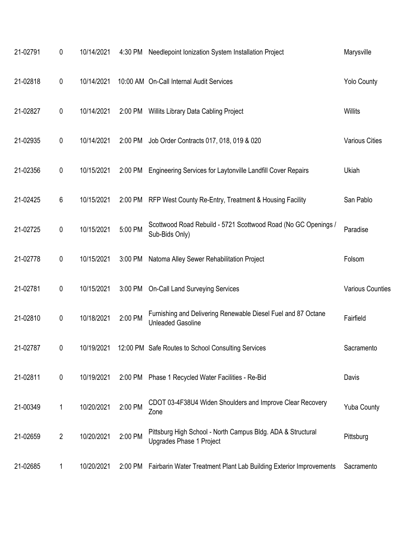| 21-02791 | 0              | 10/14/2021 | 4:30 PM | Needlepoint Ionization System Installation Project                                        | Marysville              |
|----------|----------------|------------|---------|-------------------------------------------------------------------------------------------|-------------------------|
| 21-02818 | 0              | 10/14/2021 |         | 10:00 AM On-Call Internal Audit Services                                                  | <b>Yolo County</b>      |
| 21-02827 | 0              | 10/14/2021 | 2:00 PM | Willits Library Data Cabling Project                                                      | Willits                 |
| 21-02935 | 0              | 10/14/2021 | 2:00 PM | Job Order Contracts 017, 018, 019 & 020                                                   | <b>Various Cities</b>   |
| 21-02356 | 0              | 10/15/2021 | 2:00 PM | Engineering Services for Laytonville Landfill Cover Repairs                               | Ukiah                   |
| 21-02425 | 6              | 10/15/2021 | 2:00 PM | RFP West County Re-Entry, Treatment & Housing Facility                                    | San Pablo               |
| 21-02725 | 0              | 10/15/2021 | 5:00 PM | Scottwood Road Rebuild - 5721 Scottwood Road (No GC Openings /<br>Sub-Bids Only)          | Paradise                |
| 21-02778 | 0              | 10/15/2021 | 3:00 PM | Natoma Alley Sewer Rehabilitation Project                                                 | Folsom                  |
| 21-02781 | 0              | 10/15/2021 | 3:00 PM | <b>On-Call Land Surveying Services</b>                                                    | <b>Various Counties</b> |
| 21-02810 | 0              | 10/18/2021 | 2:00 PM | Furnishing and Delivering Renewable Diesel Fuel and 87 Octane<br><b>Unleaded Gasoline</b> | Fairfield               |
| 21-02787 | 0              | 10/19/2021 |         | 12:00 PM Safe Routes to School Consulting Services                                        | Sacramento              |
| 21-02811 | 0              | 10/19/2021 | 2:00 PM | Phase 1 Recycled Water Facilities - Re-Bid                                                | Davis                   |
| 21-00349 | 1              | 10/20/2021 | 2:00 PM | CDOT 03-4F38U4 Widen Shoulders and Improve Clear Recovery<br>Zone                         | <b>Yuba County</b>      |
| 21-02659 | $\overline{2}$ | 10/20/2021 | 2:00 PM | Pittsburg High School - North Campus Bldg. ADA & Structural<br>Upgrades Phase 1 Project   | Pittsburg               |
| 21-02685 | 1              | 10/20/2021 | 2:00 PM | Fairbarin Water Treatment Plant Lab Building Exterior Improvements                        | Sacramento              |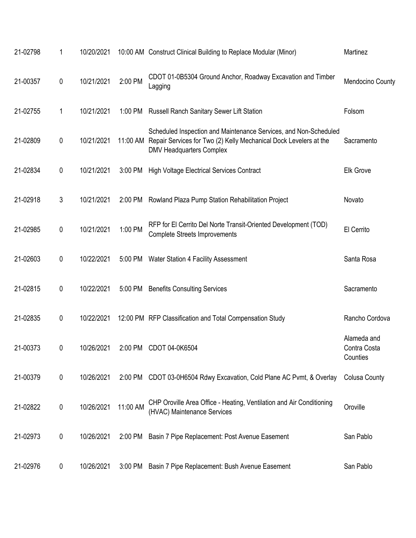| 21-02798 | 1              | 10/20/2021 |          | 10:00 AM Construct Clinical Building to Replace Modular (Minor)                                                                                                          | Martinez                                |
|----------|----------------|------------|----------|--------------------------------------------------------------------------------------------------------------------------------------------------------------------------|-----------------------------------------|
| 21-00357 | 0              | 10/21/2021 | 2:00 PM  | CDOT 01-0B5304 Ground Anchor, Roadway Excavation and Timber<br>Lagging                                                                                                   | Mendocino County                        |
| 21-02755 | 1              | 10/21/2021 | 1:00 PM  | <b>Russell Ranch Sanitary Sewer Lift Station</b>                                                                                                                         | Folsom                                  |
| 21-02809 | $\mathbf 0$    | 10/21/2021 | 11:00 AM | Scheduled Inspection and Maintenance Services, and Non-Scheduled<br>Repair Services for Two (2) Kelly Mechanical Dock Levelers at the<br><b>DMV Headquarters Complex</b> | Sacramento                              |
| 21-02834 | 0              | 10/21/2021 | 3:00 PM  | <b>High Voltage Electrical Services Contract</b>                                                                                                                         | <b>Elk Grove</b>                        |
| 21-02918 | $\mathfrak{Z}$ | 10/21/2021 | 2:00 PM  | Rowland Plaza Pump Station Rehabilitation Project                                                                                                                        | Novato                                  |
| 21-02985 | 0              | 10/21/2021 | 1:00 PM  | RFP for El Cerrito Del Norte Transit-Oriented Development (TOD)<br><b>Complete Streets Improvements</b>                                                                  | El Cerrito                              |
| 21-02603 | 0              | 10/22/2021 | 5:00 PM  | Water Station 4 Facility Assessment                                                                                                                                      | Santa Rosa                              |
| 21-02815 | 0              | 10/22/2021 | 5:00 PM  | <b>Benefits Consulting Services</b>                                                                                                                                      | Sacramento                              |
| 21-02835 | 0              | 10/22/2021 |          | 12:00 PM RFP Classification and Total Compensation Study                                                                                                                 | Rancho Cordova                          |
| 21-00373 | 0              | 10/26/2021 | 2:00 PM  | CDOT 04-0K6504                                                                                                                                                           | Alameda and<br>Contra Costa<br>Counties |
| 21-00379 | $\mathbf 0$    | 10/26/2021 | 2:00 PM  | CDOT 03-0H6504 Rdwy Excavation, Cold Plane AC Pvmt, & Overlay                                                                                                            | <b>Colusa County</b>                    |
| 21-02822 | 0              | 10/26/2021 | 11:00 AM | CHP Oroville Area Office - Heating, Ventilation and Air Conditioning<br>(HVAC) Maintenance Services                                                                      | Oroville                                |
| 21-02973 | 0              | 10/26/2021 | 2:00 PM  | Basin 7 Pipe Replacement: Post Avenue Easement                                                                                                                           | San Pablo                               |
| 21-02976 | 0              | 10/26/2021 | 3:00 PM  | Basin 7 Pipe Replacement: Bush Avenue Easement                                                                                                                           | San Pablo                               |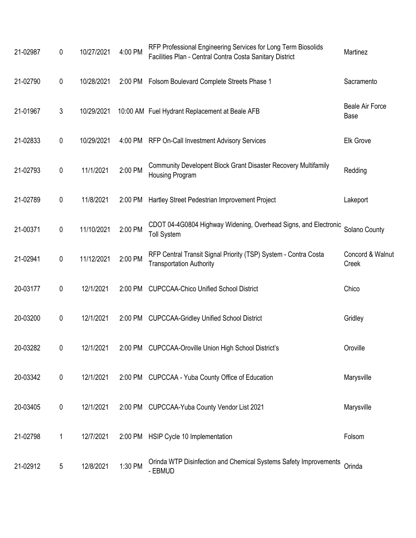| 21-02987 | $\mathbf 0$ | 10/27/2021 | 4:00 PM | RFP Professional Engineering Services for Long Term Biosolids<br>Facilities Plan - Central Contra Costa Sanitary District | Martinez                       |
|----------|-------------|------------|---------|---------------------------------------------------------------------------------------------------------------------------|--------------------------------|
| 21-02790 | $\pmb{0}$   | 10/28/2021 |         | 2:00 PM Folsom Boulevard Complete Streets Phase 1                                                                         | Sacramento                     |
| 21-01967 | 3           | 10/29/2021 |         | 10:00 AM Fuel Hydrant Replacement at Beale AFB                                                                            | <b>Beale Air Force</b><br>Base |
| 21-02833 | $\mathbf 0$ | 10/29/2021 | 4:00 PM | RFP On-Call Investment Advisory Services                                                                                  | <b>Elk Grove</b>               |
| 21-02793 | $\mathbf 0$ | 11/1/2021  | 2:00 PM | Community Developent Block Grant Disaster Recovery Multifamily<br>Housing Program                                         | Redding                        |
| 21-02789 | 0           | 11/8/2021  | 2:00 PM | Hartley Street Pedestrian Improvement Project                                                                             | Lakeport                       |
| 21-00371 | $\pmb{0}$   | 11/10/2021 | 2:00 PM | CDOT 04-4G0804 Highway Widening, Overhead Signs, and Electronic<br><b>Toll System</b>                                     | Solano County                  |
| 21-02941 | $\mathbf 0$ | 11/12/2021 | 2:00 PM | RFP Central Transit Signal Priority (TSP) System - Contra Costa<br><b>Transportation Authority</b>                        | Concord & Walnut<br>Creek      |
| 20-03177 | 0           | 12/1/2021  | 2:00 PM | <b>CUPCCAA-Chico Unified School District</b>                                                                              | Chico                          |
| 20-03200 | 0           | 12/1/2021  | 2:00 PM | <b>CUPCCAA-Gridley Unified School District</b>                                                                            | Gridley                        |
| 20-03282 | 0           | 12/1/2021  |         | 2:00 PM CUPCCAA-Oroville Union High School District's                                                                     | Oroville                       |
| 20-03342 | $\pmb{0}$   | 12/1/2021  |         | 2:00 PM CUPCCAA - Yuba County Office of Education                                                                         | Marysville                     |
| 20-03405 | 0           | 12/1/2021  | 2:00 PM | CUPCCAA-Yuba County Vendor List 2021                                                                                      | Marysville                     |
| 21-02798 | 1           | 12/7/2021  |         | 2:00 PM HSIP Cycle 10 Implementation                                                                                      | Folsom                         |
| 21-02912 | 5           | 12/8/2021  | 1:30 PM | Orinda WTP Disinfection and Chemical Systems Safety Improvements<br>- EBMUD                                               | Orinda                         |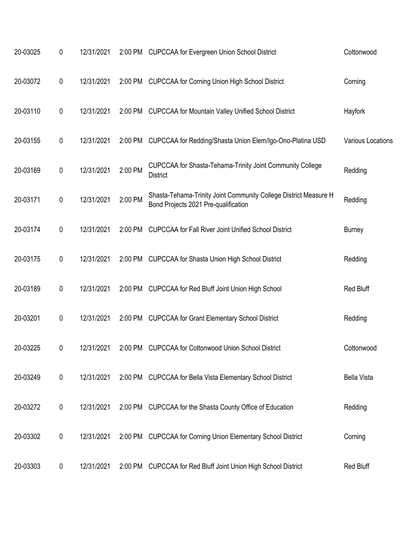| 20-03025 | 0         | 12/31/2021 |         | 2:00 PM CUPCCAA for Evergreen Union School District                                                      | Cottonwood         |
|----------|-----------|------------|---------|----------------------------------------------------------------------------------------------------------|--------------------|
| 20-03072 | 0         | 12/31/2021 | 2:00 PM | <b>CUPCCAA for Corning Union High School District</b>                                                    | Corning            |
| 20-03110 | 0         | 12/31/2021 | 2:00 PM | <b>CUPCCAA for Mountain Valley Unified School District</b>                                               | Hayfork            |
| 20-03155 | 0         | 12/31/2021 | 2:00 PM | CUPCCAA for Redding/Shasta Union Elem/Igo-Ono-Platina USD                                                | Various Locations  |
| 20-03169 | 0         | 12/31/2021 | 2:00 PM | CUPCCAA for Shasta-Tehama-Trinity Joint Community College<br><b>District</b>                             | Redding            |
| 20-03171 | 0         | 12/31/2021 | 2:00 PM | Shasta-Tehama-Trinity Joint Community College District Measure H<br>Bond Projects 2021 Pre-qualification | Redding            |
| 20-03174 | 0         | 12/31/2021 | 2:00 PM | <b>CUPCCAA for Fall River Joint Unified School District</b>                                              | <b>Burney</b>      |
| 20-03175 | 0         | 12/31/2021 | 2:00 PM | <b>CUPCCAA for Shasta Union High School District</b>                                                     | Redding            |
| 20-03189 | 0         | 12/31/2021 | 2:00 PM | <b>CUPCCAA for Red Bluff Joint Union High School</b>                                                     | Red Bluff          |
| 20-03201 | 0         | 12/31/2021 | 2:00 PM | <b>CUPCCAA for Grant Elementary School District</b>                                                      | Redding            |
| 20-03225 | 0         | 12/31/2021 | 2:00 PM | <b>CUPCCAA for Cottonwood Union School District</b>                                                      | Cottonwood         |
| 20-03249 | $\pmb{0}$ | 12/31/2021 |         | 2:00 PM CUPCCAA for Bella Vista Elementary School District                                               | <b>Bella Vista</b> |
| 20-03272 | 0         | 12/31/2021 |         | 2:00 PM CUPCCAA for the Shasta County Office of Education                                                | Redding            |
| 20-03302 | 0         | 12/31/2021 | 2:00 PM | <b>CUPCCAA for Corning Union Elementary School District</b>                                              | Corning            |
| 20-03303 | 0         | 12/31/2021 | 2:00 PM | <b>CUPCCAA for Red Bluff Joint Union High School District</b>                                            | Red Bluff          |